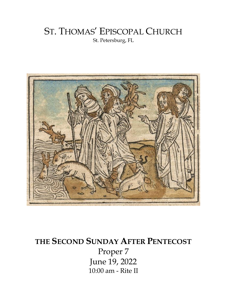# ST. THOMAS' EPISCOPAL CHURCH

St. Petersburg, FL



# **THE SECOND SUNDAY AFTER PENTECOST** Proper 7 June 19, 2022 10:00 am - Rite II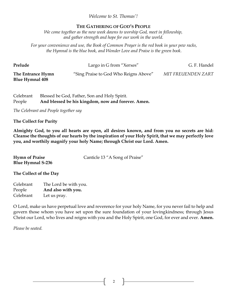*Welcome to St. Thomas'!*

# **THE GATHERING OF GOD'S PEOPLE**

*We come together as the new week dawns to worship God, meet in fellowship, and gather strength and hope for our work in the world.*

*For your convenience and use, the Book of Common Prayer is the red book in your pew racks, the Hymnal is the blue book, and Wonder Love and Praise is the green book.*

| Prelude                                     | Largo in G from "Xerxes"              | G. F. Handel       |
|---------------------------------------------|---------------------------------------|--------------------|
| The Entrance Hymn<br><b>Blue Hymnal 408</b> | "Sing Praise to God Who Reigns Above" | MIT FREUENDEN ZART |

| Celebrant | Blessed be God, Father, Son and Holy Spirit.       |
|-----------|----------------------------------------------------|
| People    | And blessed be his kingdom, now and forever. Amen. |

*The Celebrant and People together say*

#### **The Collect for Purity**

**Almighty God, to you all hearts are open, all desires known, and from you no secrets are hid: Cleanse the thoughts of our hearts by the inspiration of your Holy Spirit, that we may perfectly love you, and worthily magnify your holy Name; through Christ our Lord. Amen.**

| <b>Hymn of Praise</b>    | Canticle 13 "A Song of Praise" |
|--------------------------|--------------------------------|
| <b>Blue Hymnal S-236</b> |                                |

**The Collect of the Day**

Celebrant The Lord be with you. People **And also with you.**  Celebrant Let us pray.

O Lord, make us have perpetual love and reverence for your holy Name, for you never fail to help and govern those whom you have set upon the sure foundation of your lovingkindness; through Jesus Christ our Lord, who lives and reigns with you and the Holy Spirit, one God, for ever and ever. **Amen.**

*Please be seated.*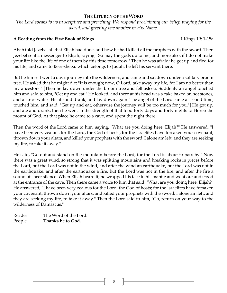# **THE LITURGY OF THE WORD**

*The Lord speaks to us in scripture and preaching. We respond proclaiming our belief, praying for the world, and greeting one another in His Name.*

# **A Reading from the First Book of Kings** 1 Kings 19: 1-15a

Ahab told Jezebel all that Elijah had done, and how he had killed all the prophets with the sword. Then Jezebel sent a messenger to Elijah, saying, "So may the gods do to me, and more also, if I do not make your life like the life of one of them by this time tomorrow." Then he was afraid; he got up and fled for his life, and came to Beer-sheba, which belongs to Judah; he left his servant there.

But he himself went a day's journey into the wilderness, and came and sat down under a solitary broom tree. He asked that he might die: "It is enough; now, O Lord, take away my life, for I am no better than my ancestors." [Then he lay down under the broom tree and fell asleep. Suddenly an angel touched him and said to him, "Get up and eat." He looked, and there at his head was a cake baked on hot stones, and a jar of water. He ate and drank, and lay down again. The angel of the Lord came a second time, touched him, and said, "Get up and eat, otherwise the journey will be too much for you."] He got up, and ate and drank; then he went in the strength of that food forty days and forty nights to Horeb the mount of God. At that place he came to a cave, and spent the night there.

Then the word of the Lord came to him, saying, "What are you doing here, Elijah?" He answered, "I have been very zealous for the Lord, the God of hosts; for the Israelites have forsaken your covenant, thrown down your altars, and killed your prophets with the sword. I alone am left, and they are seeking my life, to take it away."

He said, "Go out and stand on the mountain before the Lord, for the Lord is about to pass by." Now there was a great wind, so strong that it was splitting mountains and breaking rocks in pieces before the Lord, but the Lord was not in the wind; and after the wind an earthquake, but the Lord was not in the earthquake; and after the earthquake a fire, but the Lord was not in the fire; and after the fire a sound of sheer silence. When Elijah heard it, he wrapped his face in his mantle and went out and stood at the entrance of the cave. Then there came a voice to him that said, "What are you doing here, Elijah?" He answered, "I have been very zealous for the Lord, the God of hosts; for the Israelites have forsaken your covenant, thrown down your altars, and killed your prophets with the sword. I alone am left, and they are seeking my life, to take it away." Then the Lord said to him, "Go, return on your way to the wilderness of Damascus."

| Reader | The Word of the Lord. |
|--------|-----------------------|
| People | Thanks be to God.     |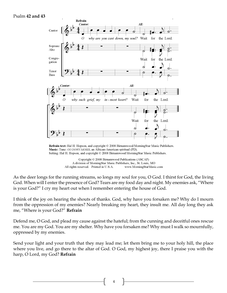### Psalm **42 and 43**



Refrain text: Hal H. Hopson, and copyright © 2008 Birnamwood/MorningStar Music Publishers. Music: Tune: GO DOWN MOSES, an African-American spiritual (PD). Setting: Hal H. Hopson, and copyright © 2008 Birnamwood/MorningStar Music Publishers.

Copyright © 2008 Birnamwood Publications (ASCAP) A division of MorningStar Music Publishers, Inc., St. Louis, MO All rights reserved. Printed in U.S.A. www.MorningStarMusic.com

As the deer longs for the running streams, so longs my soul for you, O God. I thirst for God, the living God. When will I enter the presence of God? Tears are my food day and night. My enemies ask, "Where is your God?" I cry my heart out when I remember entering the house of God.

I think of the joy on hearing the shouts of thanks. God, why have you forsaken me? Why do I mourn from the oppression of my enemies? Nearly breaking my heart, they insult me. All day long they ask me, "Where is your God?" **Refrain**

Defend me, O God, and plead my cause against the hateful; from the cunning and deceitful ones rescue me. You are my God. You are my shelter. Why have you forsaken me? Why must I walk so mournfully, oppressed by my enemies.

Send your light and your truth that they may lead me; let them bring me to your holy hill, the place where you live, and go there to the altar of God. O God, my highest joy, there I praise you with the harp, O Lord, my God? **Refrain**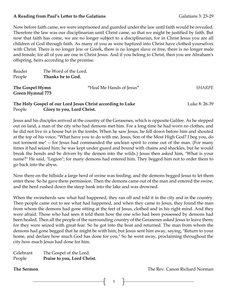# **A Reading from Paul's Letter to the Galatians** Galatians 3: 23-29

Now before faith came, we were imprisoned and guarded under the law until faith would be revealed. Therefore the law was our disciplinarian until Christ came, so that we might be justified by faith. But now that faith has come, we are no longer subject to a disciplinarian, for in Christ Jesus you are all children of God through faith. As many of you as were baptized into Christ have clothed yourselves with Christ. There is no longer Jew or Greek, there is no longer slave or free, there is no longer male and female; for all of you are one in Christ Jesus. And if you belong to Christ, then you are Abraham's offspring, heirs according to the promise.

| Reader<br>People                    | The Word of the Lord.<br>Thanks be to God. |                                                            |               |
|-------------------------------------|--------------------------------------------|------------------------------------------------------------|---------------|
| The Gospel Hymn<br>Green Hymnal 773 |                                            | "Heal Me Hands of Jesus"                                   | SHARPE        |
| People                              | Glory to you, Lord Christ.                 | The Holy Gospel of our Lord Jesus Christ according to Luke | Luke 8: 26-39 |

Jesus and his disciples arrived at the country of the Gerasenes, which is opposite Galilee. As he stepped out on land, a man of the city who had demons met him. For a long time he had worn no clothes, and he did not live in a house but in the tombs. When he saw Jesus, he fell down before him and shouted at the top of his voice, "What have you to do with me, Jesus, Son of the Most High God? I beg you, do not torment me" -- for Jesus had commanded the unclean spirit to come out of the man. (For many times it had seized him; he was kept under guard and bound with chains and shackles, but he would break the bonds and be driven by the demon into the wilds.) Jesus then asked him, "What is your name?" He said, "Legion"; for many demons had entered him. They begged him not to order them to go back into the abyss.

Now there on the hillside a large herd of swine was feeding; and the demons begged Jesus to let them enter these. So he gave them permission. Then the demons came out of the man and entered the swine, and the herd rushed down the steep bank into the lake and was drowned.

When the swineherds saw what had happened, they ran off and told it in the city and in the country. Then people came out to see what had happened, and when they came to Jesus, they found the man from whom the demons had gone sitting at the feet of Jesus, clothed and in his right mind. And they were afraid. Those who had seen it told them how the one who had been possessed by demons had been healed. Then all the people of the surrounding country of the Gerasenes asked Jesus to leave them; for they were seized with great fear. So he got into the boat and returned. The man from whom the demons had gone begged that he might be with him; but Jesus sent him away, saying, "Return to your home, and declare how much God has done for you." So he went away, proclaiming throughout the city how much Jesus had done for him.

| Celebrant | The Gospel of the Lord.     |
|-----------|-----------------------------|
| People    | Praise to you, Lord Christ. |

**The Sermon** The Rev. Canon Richard Norman The Sermon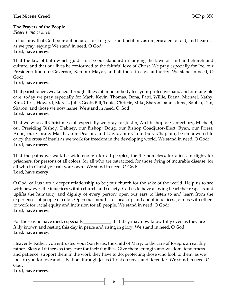# **The Prayers of the People**

*Please stand or kneel.*

Let us pray that God pour out on us a spirit of grace and petition, as on Jerusalem of old, and hear us as we pray, saying: We stand in need, O God; **Lord, have mercy.**

That the law of faith which guides us be our standard in judging the laws of land and church and culture, and that our lives be conformed to the faithful love of Christ. We pray especially for Joe, our President; Ron our Governor, Ken our Mayor, and all those in civic authority. We stand in need, O God:

# **Lord, have mercy.**

That parishioners weakened through illness of mind or body feel your protective hand and our tangible care, today we pray especially for Mark, Kevin, Thomas, Dona, Patti, Willie, Diana, Michael, Kathy, Kim, Chris, Howard, Marcia, Julie, Geoff, Bill, Tonia, Christie, Mike, Sharon Joanne, Rene, Sophia, Dan, Sharon, and those we now name. We stand in need, O God **Lord, have mercy.**

That we who call Christ messiah especially we pray for Justin, Archbishop of Canterbury; Michael, our Presiding Bishop; Dabney, our Bishop; Doug, our Bishop Coadjutor-Elect; Ryan, our Priest; Anne, our Curate; Martha, our Deacon; and David, our Canterbury Chaplain; be empowered to carry the cross of insult as we work for freedom in the developing world. We stand in need**,** O God: **Lord, have mercy**.

That the paths we walk be wide enough for all peoples, for the homeless, for aliens in flight, for prisoners, for persons of all colors, for all who are ostracized, for those dying of incurable disease, for all who in Christ you call your own. We stand in need, O God: **Lord, have mercy.**

O God, call us into a deeper relationship to be your church for the sake of the world. Help us to see with new eyes the injustices within church and society. Call us to have a loving heart that respects and uplifts the humanity and dignity of every person; open our ears to listen to and learn from the experiences of people of color. Open our mouths to speak up and about injustices. Join us with others to work for racial equity and inclusion for all people. We stand in need, O God: **Lord, have mercy.**

For those who have died, especially\_\_\_\_\_\_\_\_\_\_\_, that they may now know fully even as they are fully known and resting this day in peace and rising in glory. We stand in need, O God **Lord, have mercy.**

Heavenly Father, you entrusted your Son Jesus, the child of Mary, to the care of Joseph, an earthly father. Bless all fathers as they care for their families. Give them strength and wisdom, tenderness and patience; support them in the work they have to do, protecting those who look to them, as we look to you for love and salvation, through Jesus Christ our rock and defender. We stand in need, O God.

**Lord, have mercy.**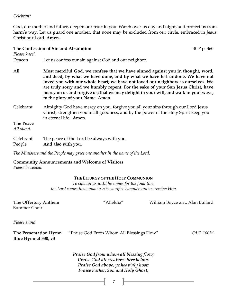#### *Celebrant*

God, our mother and father, deepen our trust in you. Watch over us day and night, and protect us from harm's way. Let us guard one another, that none may be excluded from our circle, embraced in Jesus Christ our Lord. **Amen.**

| Please kneel.                               | The Confession of Sin and Absolution                                                                                                                                                                                                                                                                                                                                                                                                                                 | BCP p. 360 |
|---------------------------------------------|----------------------------------------------------------------------------------------------------------------------------------------------------------------------------------------------------------------------------------------------------------------------------------------------------------------------------------------------------------------------------------------------------------------------------------------------------------------------|------------|
| Deacon                                      | Let us confess our sin against God and our neighbor.                                                                                                                                                                                                                                                                                                                                                                                                                 |            |
| All                                         | Most merciful God, we confess that we have sinned against you in thought, word,<br>and deed, by what we have done, and by what we have left undone. We have not<br>loved you with our whole heart; we have not loved our neighbors as ourselves. We<br>are truly sorry and we humbly repent. For the sake of your Son Jesus Christ, have<br>mercy on us and forgive us; that we may delight in your will, and walk in your ways,<br>to the glory of your Name. Amen. |            |
| Celebrant<br><b>The Peace</b><br>All stand. | Almighty God have mercy on you, forgive you all your sins through our Lord Jesus<br>Christ, strengthen you in all goodness, and by the power of the Holy Spirit keep you<br>in eternal life. Amen.                                                                                                                                                                                                                                                                   |            |
| Celebrant<br>People                         | The peace of the Lord be always with you.<br>And also with you.                                                                                                                                                                                                                                                                                                                                                                                                      |            |

*The Ministers and the People may greet one another in the name of the Lord.*

**Community Announcements and Welcome of Visitors**

*Please be seated.* 

# **THE LITURGY OF THE HOLY COMMUNION**

*To sustain us until he comes for the final time the Lord comes to us now in His sacrifice banquet and we receive Him*

| The Offertory Anthem<br>Summer Choir         | "Alleluia"                                | William Boyce arr., Alan Bullard |
|----------------------------------------------|-------------------------------------------|----------------------------------|
| Please stand                                 |                                           |                                  |
| The Presentation Hymn<br>Blue Hymnal 380, v3 | "Praise God From Whom All Blessings Flow" | OLD 100 <sup>TH</sup>            |

*Praise God from whom all blessing flow; Praise God all creatures here below, Praise God above, ye heav'nly host; Praise Father, Son and Holy Ghost,*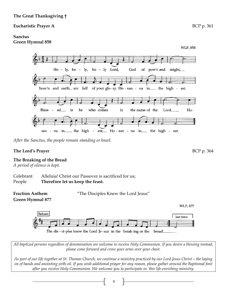# **Eucharistic Prayer A** BCP p. 361

#### **Sanctus Green Hymnal 858**



*After the Sanctus, the people remain standing or kneel.*

#### **The Lord's Prayer** BCP p. 364

#### **The Breaking of the Bread**

*A period of silence is kept.* 

Celebrant Alleluia! Christ our Passover is sacrificed for us; People **Therefore let us keep the feast.** 

**Fraction Anthem** "The Disciples Knew the Lord Jesus"

**Green Hymnal 877**

WLP, 877



*All baptized persons regardless of denomination are welcome to receive Holy Communion. If you desire a blessing instead, please come forward and cross your arms over your chest.*

*As part of our life together at St. Thomas Church, we continue a ministry practiced by our Lord Jesus Christ – the laying on of hands and anointing with oil. If you wish additional prayer for any reason, please gather around the Baptismal font after you receive Holy Communion. We welcome you to participate in this life-enriching ministry.* 

8

**WLP, 858**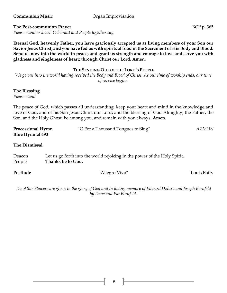**Communion Music Communion Music Communion Music** 

**The Post-communion Prayer** BCP p. 365 *Please stand or kneel. Celebrant and People together say,*

**Eternal God, heavenly Father, you have graciously accepted us as living members of your Son our Savior Jesus Christ, and you have fed us with spiritual food in the Sacrament of His Body and Blood. Send us now into the world in peace, and grant us strength and courage to love and serve you with gladness and singleness of heart; through Christ our Lord. Amen.**

# **THE SENDING OUT OF THE LORD'S PEOPLE**

*We go out into the world having received the Body and Blood of Christ. As our time of worship ends, our time of service begins.*

# **The Blessing**

*Please stand*

The peace of God, which passes all understanding, keep your heart and mind in the knowledge and love of God, and of his Son Jesus Christ our Lord; and the blessing of God Almighty, the Father, the Son, and the Holy Ghost, be among you, and remain with you always. **Amen.**

| <b>Processional Hymn</b> | "O For a Thousand Tongues to Sing" | AZMON |
|--------------------------|------------------------------------|-------|
| <b>Blue Hymnal 493</b>   |                                    |       |

# **The Dismissal**

| Deacon | Let us go forth into the world rejoicing in the power of the Holy Spirit. |
|--------|---------------------------------------------------------------------------|
| People | Thanks be to God.                                                         |

**Postlude** "Allegro Vivo" Louis Raffy

*The Altar Flowers are given to the glory of God and in loving memory of Edward Dziura and Joseph Bernfeld by Dave and Pat Bernfeld.*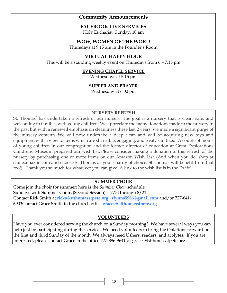# **Community Announcements**

# **FACEBOOK LIVE SERVICES**

Holy Eucharist, Sunday, 10 am

# **WOW, WOMEN OF THE WORD**

Thursdays at 9:15 am in the Founder's Room

# **VIRTUAL HAPPY HOUR**

This will be a standing weekly event on Thursdays from 6 – 7:15 pm

# **EVENING CHAPEL SERVICE**

Wednesdays at 5:15 pm

# **SUPPER AND PRAYER**

Wednesday at 6:00 pm

# **NURSERY REFRESH**

St. Thomas' has undertaken a refresh of our nursery. The goal is a nursery that is clean, safe, and welcoming to families with young children. We appreciate the many donations made to the nursery in the past but with a renewed emphasis on cleanliness these last 2 years, we made a significant purge of the nursery contents. We will now undertake a deep clean and will be acquiring new toys and equipment with a view to items which are shareable, engaging, and easily sanitized. A couple of moms of young children in our congregation and the former director of education at Great Explorations Childrens' Museum prepared our wish list. Please consider making a donation to this refresh of the nursery by purchasing one or more items on our Amazon Wish List. (And when you do, shop at smile.amazon.com and choose St Thomas as your charity of choice. St Thomas will benefit from that too!). Thank you so much for whatever you can give! A link to the wish list is in the Draft!

#### **SUMMER CHOIR**

Come join the choir for summer: here is the *Summer Choir* schedule: Sundays with Summer Choir, (Second Session) = 7/31through 8/21 Contact Rick Smith at **[ricks@stthomasstpete.org](mailto:ricks@stthomasstpete.org)** , **[rlynns5966@gmail.com](mailto:rlynns5966@gmail.com)** and/or 727-641- 6903Contact Grace Smith in the church office **[graces@stthomasstpete.org](mailto:graces@stthomasstpete.org)**

#### **VOLUNTEERS**

Have you ever considered serving the church on a Sunday morning? We have several ways you can help just by participating during the service. We need volunteers to bring the Oblations forward on the first and third Sunday of the month. We always need Ushers, readers, and acolytes. If you are interested, please contact Grace in the office 727-896-9641 or graces@stthomasstpete.org.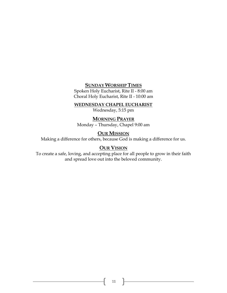# **SUNDAY WORSHIP TIMES**

Spoken Holy Eucharist, Rite II - 8:00 am Choral Holy Eucharist, Rite II - 10:00 am

# **WEDNESDAY CHAPEL EUCHARIST**

Wednesday, 5:15 pm

# **MORNING PRAYER**

Monday – Thursday, Chapel 9:00 am

# **OUR MISSION**

Making a difference for others, because God is making a difference for us.

# **OUR VISION**

To create a safe, loving, and accepting place for all people to grow in their faith and spread love out into the beloved community.